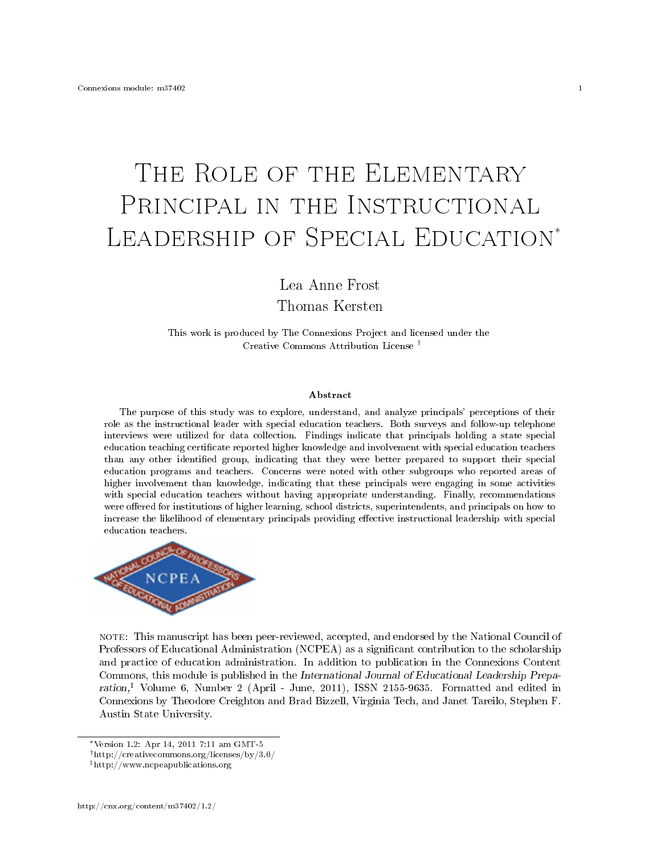# THE ROLE OF THE ELEMENTARY PRINCIPAL IN THE INSTRUCTIONAL LEADERSHIP OF SPECIAL EDUCATION<sup>\*</sup>

Lea Anne Frost

Thomas Kersten

This work is produced by The Connexions Project and licensed under the Creative Commons Attribution License †

#### Abstract

The purpose of this study was to explore, understand, and analyze principals' perceptions of their role as the instructional leader with special education teachers. Both surveys and follow-up telephone interviews were utilized for data collection. Findings indicate that principals holding a state special education teaching certificate reported higher knowledge and involvement with special education teachers than any other identified group, indicating that they were better prepared to support their special education programs and teachers. Concerns were noted with other subgroups who reported areas of higher involvement than knowledge, indicating that these principals were engaging in some activities with special education teachers without having appropriate understanding. Finally, recommendations were offered for institutions of higher learning, school districts, superintendents, and principals on how to increase the likelihood of elementary principals providing effective instructional leadership with special education teachers.



note: This manuscript has been peer-reviewed, accepted, and endorsed by the National Council of Professors of Educational Administration (NCPEA) as a significant contribution to the scholarship and practice of education administration. In addition to publication in the Connexions Content Commons, this module is published in the International Journal of Educational Leadership Preparation,<sup>1</sup> Volume 6, Number 2 (April - June, 2011), ISSN 2155-9635. Formatted and edited in Connexions by Theodore Creighton and Brad Bizzell, Virginia Tech, and Janet Tareilo, Stephen F. Austin State University.

<sup>∗</sup>Version 1.2: Apr 14, 2011 7:11 am GMT-5

<sup>†</sup>http://creativecommons.org/licenses/by/3.0/

<sup>1</sup>http://www.ncpeapublications.org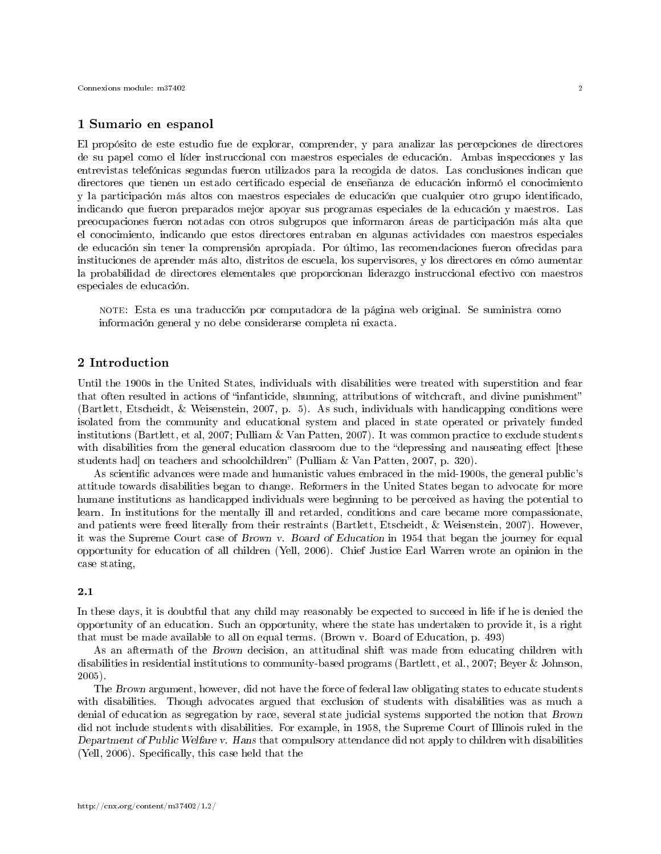# 1 Sumario en espanol

El propósito de este estudio fue de explorar, comprender, y para analizar las percepciones de directores de su papel como el líder instruccional con maestros especiales de educación. Ambas inspecciones y las entrevistas telefónicas segundas fueron utilizados para la recogida de datos. Las conclusiones indican que directores que tienen un estado certificado especial de enseñanza de educación informó el conocimiento y la participación más altos con maestros especiales de educación que cualquier otro grupo identicado, indicando que fueron preparados mejor apoyar sus programas especiales de la educación y maestros. Las preocupaciones fueron notadas con otros subgrupos que informaron áreas de participación más alta que el conocimiento, indicando que estos directores entraban en algunas actividades con maestros especiales de educación sin tener la comprensión apropiada. Por último, las recomendaciones fueron ofrecidas para instituciones de aprender más alto, distritos de escuela, los supervisores, y los directores en cómo aumentar la probabilidad de directores elementales que proporcionan liderazgo instruccional efectivo con maestros especiales de educación.

note: Esta es una traducción por computadora de la página web original. Se suministra como información general y no debe considerarse completa ni exacta.

# 2 Introduction

Until the 1900s in the United States, individuals with disabilities were treated with superstition and fear that often resulted in actions of "infanticide, shunning, attributions of witchcraft, and divine punishment" (Bartlett, Etscheidt, & Weisenstein, 2007, p. 5). As such, individuals with handicapping conditions were isolated from the community and educational system and placed in state operated or privately funded institutions (Bartlett, et al, 2007; Pulliam & Van Patten, 2007). It was common practice to exclude students with disabilities from the general education classroom due to the "depressing and nauseating effect [these students had] on teachers and schoolchildren" (Pulliam & Van Patten, 2007, p. 320).

As scientific advances were made and humanistic values embraced in the mid-1900s, the general public's attitude towards disabilities began to change. Reformers in the United States began to advocate for more humane institutions as handicapped individuals were beginning to be perceived as having the potential to learn. In institutions for the mentally ill and retarded, conditions and care became more compassionate, and patients were freed literally from their restraints (Bartlett, Etscheidt, & Weisenstein, 2007). However, it was the Supreme Court case of Brown v. Board of Education in 1954 that began the journey for equal opportunity for education of all children (Yell, 2006). Chief Justice Earl Warren wrote an opinion in the case stating,

## 2.1

In these days, it is doubtful that any child may reasonably be expected to succeed in life if he is denied the opportunity of an education. Such an opportunity, where the state has undertaken to provide it, is a right that must be made available to all on equal terms. (Brown v. Board of Education, p. 493)

As an aftermath of the Brown decision, an attitudinal shift was made from educating children with disabilities in residential institutions to community-based programs (Bartlett, et al., 2007; Beyer & Johnson, 2005).

The Brown argument, however, did not have the force of federal law obligating states to educate students with disabilities. Though advocates argued that exclusion of students with disabilities was as much a denial of education as segregation by race, several state judicial systems supported the notion that Brown did not include students with disabilities. For example, in 1958, the Supreme Court of Illinois ruled in the Department of Public Welfare v. Hans that compulsory attendance did not apply to children with disabilities (Yell, 2006). Specifically, this case held that the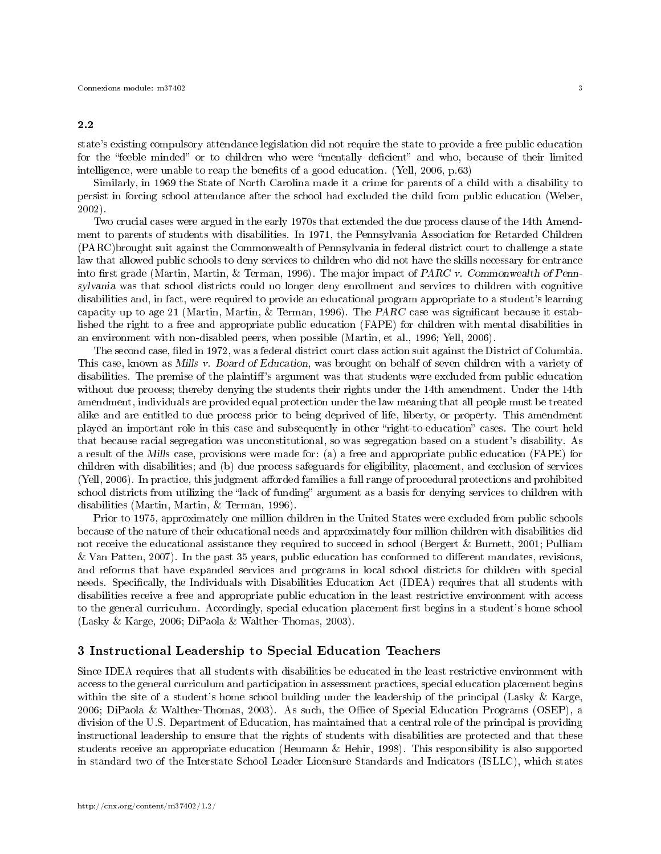#### 2.2

state's existing compulsory attendance legislation did not require the state to provide a free public education for the "feeble minded" or to children who were "mentally deficient" and who, because of their limited intelligence, were unable to reap the benefits of a good education. (Yell, 2006, p.63)

Similarly, in 1969 the State of North Carolina made it a crime for parents of a child with a disability to persist in forcing school attendance after the school had excluded the child from public education (Weber, 2002).

Two crucial cases were argued in the early 1970s that extended the due process clause of the 14th Amendment to parents of students with disabilities. In 1971, the Pennsylvania Association for Retarded Children (PARC)brought suit against the Commonwealth of Pennsylvania in federal district court to challenge a state law that allowed public schools to deny services to children who did not have the skills necessary for entrance into first grade (Martin, Martin, & Terman, 1996). The major impact of PARC v. Commonwealth of Pennsylvania was that school districts could no longer deny enrollment and services to children with cognitive disabilities and, in fact, were required to provide an educational program appropriate to a student's learning capacity up to age 21 (Martin, Martin, & Terman, 1996). The PARC case was significant because it established the right to a free and appropriate public education (FAPE) for children with mental disabilities in an environment with non-disabled peers, when possible (Martin, et al., 1996; Yell, 2006).

The second case, filed in 1972, was a federal district court class action suit against the District of Columbia. This case, known as Mills v. Board of Education, was brought on behalf of seven children with a variety of disabilities. The premise of the plaintiff's argument was that students were excluded from public education without due process; thereby denying the students their rights under the 14th amendment. Under the 14th amendment, individuals are provided equal protection under the law meaning that all people must be treated alike and are entitled to due process prior to being deprived of life, liberty, or property. This amendment played an important role in this case and subsequently in other "right-to-education" cases. The court held that because racial segregation was unconstitutional, so was segregation based on a student's disability. As a result of the Mills case, provisions were made for: (a) a free and appropriate public education (FAPE) for children with disabilities; and (b) due process safeguards for eligibility, placement, and exclusion of services (Yell, 2006). In practice, this judgment afforded families a full range of procedural protections and prohibited school districts from utilizing the "lack of funding" argument as a basis for denying services to children with disabilities (Martin, Martin, & Terman, 1996).

Prior to 1975, approximately one million children in the United States were excluded from public schools because of the nature of their educational needs and approximately four million children with disabilities did not receive the educational assistance they required to succeed in school (Bergert & Burnett, 2001; Pulliam  $&$  Van Patten, 2007). In the past 35 years, public education has conformed to different mandates, revisions, and reforms that have expanded services and programs in local school districts for children with special needs. Specifically, the Individuals with Disabilities Education Act (IDEA) requires that all students with disabilities receive a free and appropriate public education in the least restrictive environment with access to the general curriculum. Accordingly, special education placement first begins in a student's home school (Lasky & Karge, 2006; DiPaola & Walther-Thomas, 2003).

# 3 Instructional Leadership to Special Education Teachers

Since IDEA requires that all students with disabilities be educated in the least restrictive environment with access to the general curriculum and participation in assessment practices, special education placement begins within the site of a student's home school building under the leadership of the principal (Lasky & Karge, 2006; DiPaola & Walther-Thomas, 2003). As such, the Office of Special Education Programs (OSEP), a division of the U.S. Department of Education, has maintained that a central role of the principal is providing instructional leadership to ensure that the rights of students with disabilities are protected and that these students receive an appropriate education (Heumann & Hehir, 1998). This responsibility is also supported in standard two of the Interstate School Leader Licensure Standards and Indicators (ISLLC), which states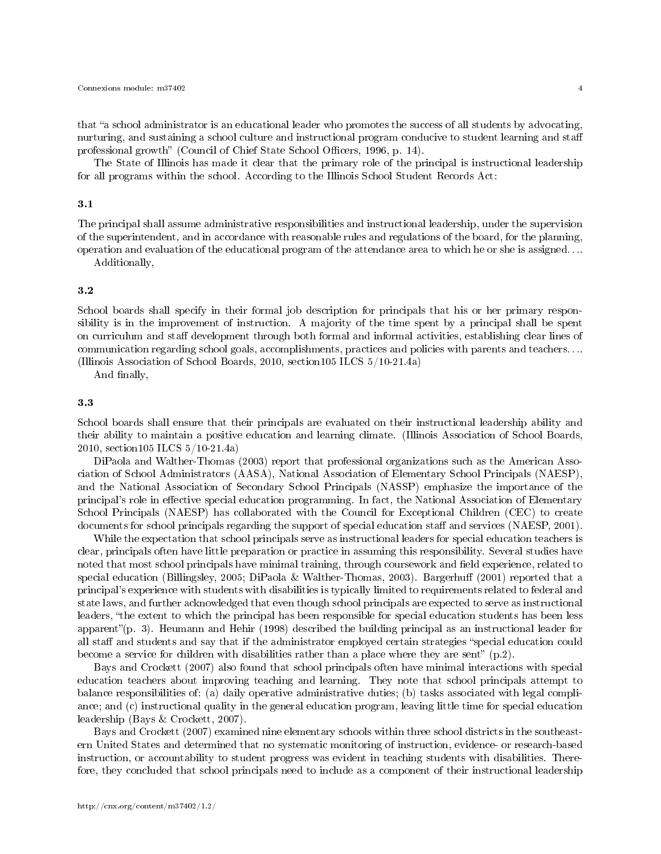that "a school administrator is an educational leader who promotes the success of all students by advocating, nurturing, and sustaining a school culture and instructional program conducive to student learning and staff professional growth" (Council of Chief State School Officers, 1996, p. 14).

The State of Illinois has made it clear that the primary role of the principal is instructional leadership for all programs within the school. According to the Illinois School Student Records Act:

#### 3.1

The principal shall assume administrative responsibilities and instructional leadership, under the supervision of the superintendent, and in accordance with reasonable rules and regulations of the board, for the planning, operation and evaluation of the educational program of the attendance area to which he or she is assigned. . ..

Additionally,

# 3.2

School boards shall specify in their formal job description for principals that his or her primary responsibility is in the improvement of instruction. A majority of the time spent by a principal shall be spent on curriculum and staff development through both formal and informal activities, establishing clear lines of communication regarding school goals, accomplishments, practices and policies with parents and teachers. . .. (Illinois Association of School Boards, 2010, section105 ILCS 5/10-21.4a)

And finally,

## 3.3

School boards shall ensure that their principals are evaluated on their instructional leadership ability and their ability to maintain a positive education and learning climate. (Illinois Association of School Boards, 2010, section105 ILCS 5/10-21.4a)

DiPaola and Walther-Thomas (2003) report that professional organizations such as the American Association of School Administrators (AASA), National Association of Elementary School Principals (NAESP), and the National Association of Secondary School Principals (NASSP) emphasize the importance of the principal's role in effective special education programming. In fact, the National Association of Elementary School Principals (NAESP) has collaborated with the Council for Exceptional Children (CEC) to create documents for school principals regarding the support of special education staff and services (NAESP, 2001).

While the expectation that school principals serve as instructional leaders for special education teachers is clear, principals often have little preparation or practice in assuming this responsibility. Several studies have noted that most school principals have minimal training, through coursework and field experience, related to special education (Billingsley, 2005; DiPaola & Walther-Thomas, 2003). Bargerhuff (2001) reported that a principal's experience with students with disabilities is typically limited to requirements related to federal and state laws, and further acknowledged that even though school principals are expected to serve as instructional leaders, "the extent to which the principal has been responsible for special education students has been less apparent'(p. 3). Heumann and Hehir (1998) described the building principal as an instructional leader for all staff and students and say that if the administrator employed certain strategies "special education could become a service for children with disabilities rather than a place where they are sent"  $(p.2)$ .

Bays and Crockett (2007) also found that school principals often have minimal interactions with special education teachers about improving teaching and learning. They note that school principals attempt to balance responsibilities of: (a) daily operative administrative duties; (b) tasks associated with legal compliance; and (c) instructional quality in the general education program, leaving little time for special education leadership (Bays & Crockett, 2007).

Bays and Crockett (2007) examined nine elementary schools within three school districts in the southeastern United States and determined that no systematic monitoring of instruction, evidence- or research-based instruction, or accountability to student progress was evident in teaching students with disabilities. Therefore, they concluded that school principals need to include as a component of their instructional leadership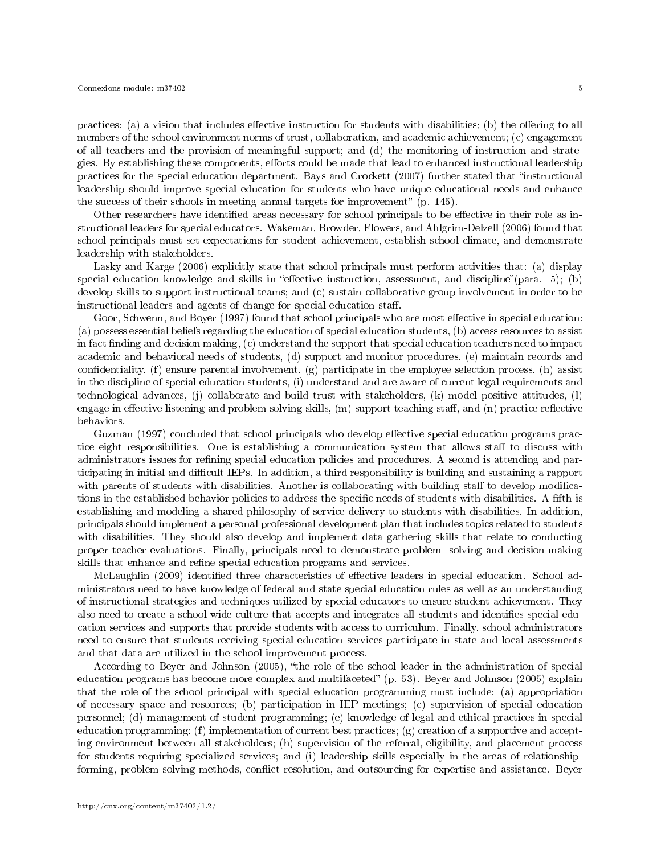practices: (a) a vision that includes effective instruction for students with disabilities; (b) the offering to all members of the school environment norms of trust, collaboration, and academic achievement; (c) engagement of all teachers and the provision of meaningful support; and (d) the monitoring of instruction and strategies. By establishing these components, efforts could be made that lead to enhanced instructional leadership practices for the special education department. Bays and Crockett (2007) further stated that "instructional leadership should improve special education for students who have unique educational needs and enhance the success of their schools in meeting annual targets for improvement"  $(p. 145)$ .

Other researchers have identified areas necessary for school principals to be effective in their role as instructional leaders for special educators. Wakeman, Browder, Flowers, and Ahlgrim-Delzell (2006) found that school principals must set expectations for student achievement, establish school climate, and demonstrate leadership with stakeholders.

Lasky and Karge (2006) explicitly state that school principals must perform activities that: (a) display special education knowledge and skills in "effective instruction, assessment, and discipline"(para.  $5$ ); (b) develop skills to support instructional teams; and (c) sustain collaborative group involvement in order to be instructional leaders and agents of change for special education staff.

Goor, Schwenn, and Boyer (1997) found that school principals who are most effective in special education: (a) possess essential beliefs regarding the education of special education students, (b) access resources to assist in fact finding and decision making, (c) understand the support that special education teachers need to impact academic and behavioral needs of students, (d) support and monitor procedures, (e) maintain records and confidentiality,  $(f)$  ensure parental involvement,  $(g)$  participate in the employee selection process,  $(h)$  assist in the discipline of special education students, (i) understand and are aware of current legal requirements and technological advances, (j) collaborate and build trust with stakeholders, (k) model positive attitudes, (l) engage in effective listening and problem solving skills, (m) support teaching staff, and (n) practice reflective behaviors.

Guzman (1997) concluded that school principals who develop effective special education programs practice eight responsibilities. One is establishing a communication system that allows staff to discuss with administrators issues for refining special education policies and procedures. A second is attending and participating in initial and difficult IEPs. In addition, a third responsibility is building and sustaining a rapport with parents of students with disabilities. Another is collaborating with building staff to develop modifications in the established behavior policies to address the specific needs of students with disabilities. A fifth is establishing and modeling a shared philosophy of service delivery to students with disabilities. In addition, principals should implement a personal professional development plan that includes topics related to students with disabilities. They should also develop and implement data gathering skills that relate to conducting proper teacher evaluations. Finally, principals need to demonstrate problem- solving and decision-making skills that enhance and refine special education programs and services.

McLaughlin (2009) identified three characteristics of effective leaders in special education. School administrators need to have knowledge of federal and state special education rules as well as an understanding of instructional strategies and techniques utilized by special educators to ensure student achievement. They also need to create a school-wide culture that accepts and integrates all students and identifies special education services and supports that provide students with access to curriculum. Finally, school administrators need to ensure that students receiving special education services participate in state and local assessments and that data are utilized in the school improvement process.

According to Beyer and Johnson (2005), "the role of the school leader in the administration of special education programs has become more complex and multifaceted" (p. 53). Beyer and Johnson (2005) explain that the role of the school principal with special education programming must include: (a) appropriation of necessary space and resources; (b) participation in IEP meetings; (c) supervision of special education personnel; (d) management of student programming; (e) knowledge of legal and ethical practices in special education programming; (f) implementation of current best practices; (g) creation of a supportive and accepting environment between all stakeholders; (h) supervision of the referral, eligibility, and placement process for students requiring specialized services; and (i) leadership skills especially in the areas of relationshipforming, problem-solving methods, conflict resolution, and outsourcing for expertise and assistance. Beyer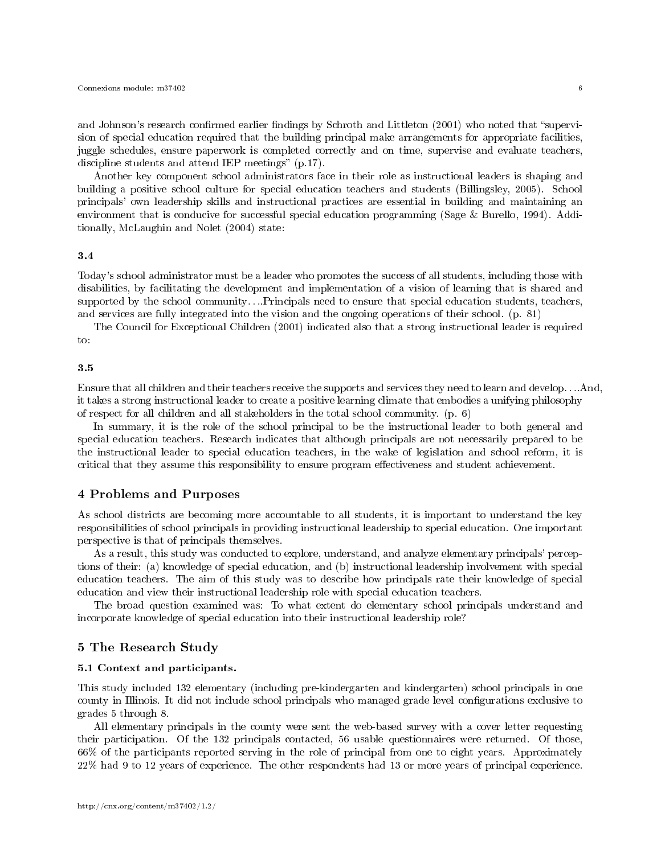and Johnson's research confirmed earlier findings by Schroth and Littleton (2001) who noted that "supervision of special education required that the building principal make arrangements for appropriate facilities, juggle schedules, ensure paperwork is completed correctly and on time, supervise and evaluate teachers, discipline students and attend IEP meetings"  $(p.17)$ .

Another key component school administrators face in their role as instructional leaders is shaping and building a positive school culture for special education teachers and students (Billingsley, 2005). School principals' own leadership skills and instructional practices are essential in building and maintaining an environment that is conducive for successful special education programming (Sage & Burello, 1994). Additionally, McLaughin and Nolet (2004) state:

# 3.4

Today's school administrator must be a leader who promotes the success of all students, including those with disabilities, by facilitating the development and implementation of a vision of learning that is shared and supported by the school community....Principals need to ensure that special education students, teachers, and services are fully integrated into the vision and the ongoing operations of their school. (p. 81)

The Council for Exceptional Children (2001) indicated also that a strong instructional leader is required to:

#### 3.5

Ensure that all children and their teachers receive the supports and services they need to learn and develop. . ..And, it takes a strong instructional leader to create a positive learning climate that embodies a unifying philosophy of respect for all children and all stakeholders in the total school community. (p. 6)

In summary, it is the role of the school principal to be the instructional leader to both general and special education teachers. Research indicates that although principals are not necessarily prepared to be the instructional leader to special education teachers, in the wake of legislation and school reform, it is critical that they assume this responsibility to ensure program effectiveness and student achievement.

# 4 Problems and Purposes

As school districts are becoming more accountable to all students, it is important to understand the key responsibilities of school principals in providing instructional leadership to special education. One important perspective is that of principals themselves.

As a result, this study was conducted to explore, understand, and analyze elementary principals' perceptions of their: (a) knowledge of special education, and (b) instructional leadership involvement with special education teachers. The aim of this study was to describe how principals rate their knowledge of special education and view their instructional leadership role with special education teachers.

The broad question examined was: To what extent do elementary school principals understand and incorporate knowledge of special education into their instructional leadership role?

# 5 The Research Study

#### 5.1 Context and participants.

This study included 132 elementary (including pre-kindergarten and kindergarten) school principals in one county in Illinois. It did not include school principals who managed grade level configurations exclusive to grades 5 through 8.

All elementary principals in the county were sent the web-based survey with a cover letter requesting their participation. Of the 132 principals contacted, 56 usable questionnaires were returned. Of those, 66% of the participants reported serving in the role of principal from one to eight years. Approximately 22% had 9 to 12 years of experience. The other respondents had 13 or more years of principal experience.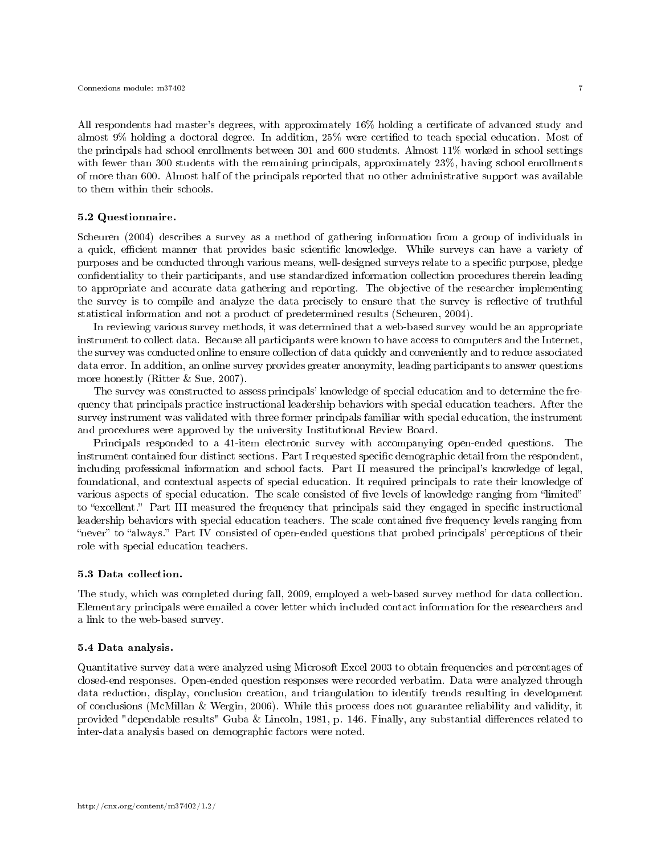All respondents had master's degrees, with approximately 16% holding a certicate of advanced study and almost 9% holding a doctoral degree. In addition, 25% were certied to teach special education. Most of the principals had school enrollments between 301 and 600 students. Almost 11% worked in school settings with fewer than 300 students with the remaining principals, approximately 23%, having school enrollments of more than 600. Almost half of the principals reported that no other administrative support was available to them within their schools.

## 5.2 Questionnaire.

Scheuren (2004) describes a survey as a method of gathering information from a group of individuals in a quick, efficient manner that provides basic scientific knowledge. While surveys can have a variety of purposes and be conducted through various means, well-designed surveys relate to a specific purpose, pledge condentiality to their participants, and use standardized information collection procedures therein leading to appropriate and accurate data gathering and reporting. The objective of the researcher implementing the survey is to compile and analyze the data precisely to ensure that the survey is reflective of truthful statistical information and not a product of predetermined results (Scheuren, 2004).

In reviewing various survey methods, it was determined that a web-based survey would be an appropriate instrument to collect data. Because all participants were known to have access to computers and the Internet, the survey was conducted online to ensure collection of data quickly and conveniently and to reduce associated data error. In addition, an online survey provides greater anonymity, leading participants to answer questions more honestly (Ritter & Sue, 2007).

The survey was constructed to assess principals' knowledge of special education and to determine the frequency that principals practice instructional leadership behaviors with special education teachers. After the survey instrument was validated with three former principals familiar with special education, the instrument and procedures were approved by the university Institutional Review Board.

Principals responded to a 41-item electronic survey with accompanying open-ended questions. The instrument contained four distinct sections. Part I requested specific demographic detail from the respondent, including professional information and school facts. Part II measured the principal's knowledge of legal, foundational, and contextual aspects of special education. It required principals to rate their knowledge of various aspects of special education. The scale consisted of five levels of knowledge ranging from "limited" to "excellent." Part III measured the frequency that principals said they engaged in specific instructional leadership behaviors with special education teachers. The scale contained five frequency levels ranging from "never" to "always." Part IV consisted of open-ended questions that probed principals' perceptions of their role with special education teachers.

#### 5.3 Data collection.

The study, which was completed during fall, 2009, employed a web-based survey method for data collection. Elementary principals were emailed a cover letter which included contact information for the researchers and a link to the web-based survey.

#### 5.4 Data analysis.

Quantitative survey data were analyzed using Microsoft Excel 2003 to obtain frequencies and percentages of closed-end responses. Open-ended question responses were recorded verbatim. Data were analyzed through data reduction, display, conclusion creation, and triangulation to identify trends resulting in development of conclusions (McMillan & Wergin, 2006). While this process does not guarantee reliability and validity, it provided "dependable results" Guba & Lincoln, 1981, p. 146. Finally, any substantial differences related to inter-data analysis based on demographic factors were noted.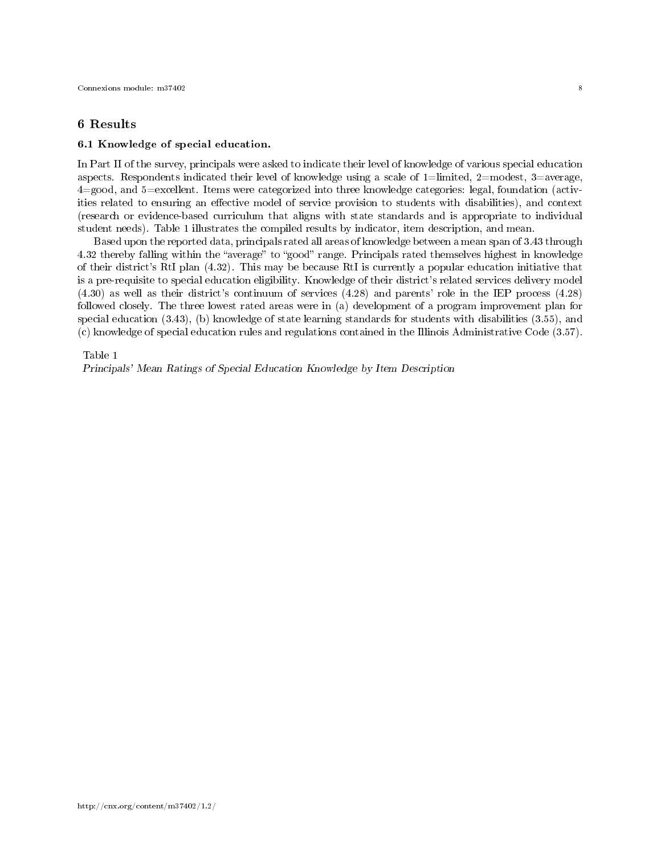# 6 Results

#### 6.1 Knowledge of special education.

In Part II of the survey, principals were asked to indicate their level of knowledge of various special education aspects. Respondents indicated their level of knowledge using a scale of  $1=$ limited,  $2=$ modest,  $3=$ average, 4=good, and 5=excellent. Items were categorized into three knowledge categories: legal, foundation (activities related to ensuring an effective model of service provision to students with disabilities), and context (research or evidence-based curriculum that aligns with state standards and is appropriate to individual student needs). Table 1 illustrates the compiled results by indicator, item description, and mean.

Based upon the reported data, principals rated all areas of knowledge between a mean span of 3.43 through 4.32 thereby falling within the "average" to "good" range. Principals rated themselves highest in knowledge of their district's RtI plan (4.32). This may be because RtI is currently a popular education initiative that is a pre-requisite to special education eligibility. Knowledge of their district's related services delivery model (4.30) as well as their district's continuum of services (4.28) and parents' role in the IEP process (4.28) followed closely. The three lowest rated areas were in (a) development of a program improvement plan for special education (3.43), (b) knowledge of state learning standards for students with disabilities (3.55), and (c) knowledge of special education rules and regulations contained in the Illinois Administrative Code (3.57).

#### Table 1

Principals' Mean Ratings of Special Education Knowledge by Item Description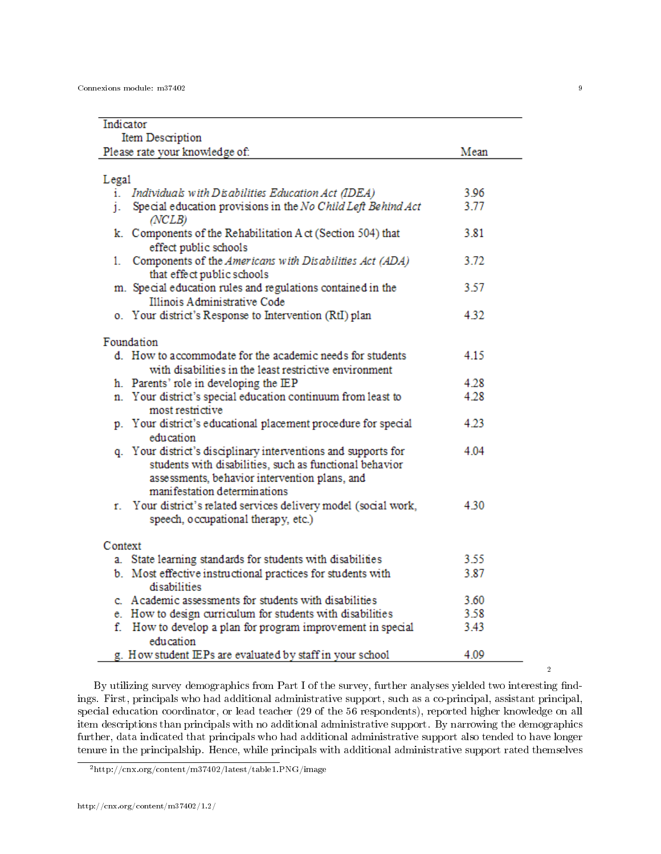| Indicator                                                                                                                                                                                                  |      |  |  |  |
|------------------------------------------------------------------------------------------------------------------------------------------------------------------------------------------------------------|------|--|--|--|
| Item Description                                                                                                                                                                                           |      |  |  |  |
| Please rate your knowledge of:                                                                                                                                                                             | Mean |  |  |  |
|                                                                                                                                                                                                            |      |  |  |  |
| Legal                                                                                                                                                                                                      |      |  |  |  |
| i. Individuals with Disabilities Education Act (IDEA)                                                                                                                                                      | 3.96 |  |  |  |
| j. Special education provisions in the No Child Left Behind Act<br>(NCLB)                                                                                                                                  | 3.77 |  |  |  |
| k. Components of the Rehabilitation A ct (Section 504) that<br>effect public schools                                                                                                                       | 3.81 |  |  |  |
| Components of the Americans with Disabilities Act (ADA)<br>1.<br>that effect public schools                                                                                                                | 3.72 |  |  |  |
| m. Special education rules and regulations contained in the                                                                                                                                                | 3.57 |  |  |  |
| Illinois Administrative Code                                                                                                                                                                               |      |  |  |  |
| o. Your district's Response to Intervention (RtI) plan                                                                                                                                                     | 4.32 |  |  |  |
|                                                                                                                                                                                                            |      |  |  |  |
| Foundation                                                                                                                                                                                                 |      |  |  |  |
| d. How to accommodate for the academic needs for students                                                                                                                                                  | 415  |  |  |  |
| with disabilities in the least restrictive environment                                                                                                                                                     |      |  |  |  |
| h. Parents' role in developing the IEP                                                                                                                                                                     | 4.28 |  |  |  |
| n. Your district's special education continuum from least to<br>most restrictive                                                                                                                           | 4.28 |  |  |  |
| p. Your district's educational placement procedure for special<br>education                                                                                                                                | 4.23 |  |  |  |
| q. Your district's disciplinary interventions and supports for<br>students with disabilities, such as functional behavior<br>assessments, behavior intervention plans, and<br>manifestation determinations | 4.04 |  |  |  |
| r. Your district's related services delivery model (social work,                                                                                                                                           | 4.30 |  |  |  |
| speech, occupational therapy, etc.)                                                                                                                                                                        |      |  |  |  |
| Context                                                                                                                                                                                                    |      |  |  |  |
| a. State learning standards for students with disabilities                                                                                                                                                 | 3.55 |  |  |  |
| b. Most effective instructional practices for students with                                                                                                                                                | 3.87 |  |  |  |
| disabilities                                                                                                                                                                                               |      |  |  |  |
| c. A cademic assessments for students with disabilities.                                                                                                                                                   | 3.60 |  |  |  |
| e. How to design curriculum for students with disabilities                                                                                                                                                 | 3.58 |  |  |  |
| f. How to develop a plan for program improvement in special                                                                                                                                                | 3.43 |  |  |  |
| education<br>g. How student IEPs are evaluated by staff in your school                                                                                                                                     | 4.09 |  |  |  |

By utilizing survey demographics from Part I of the survey, further analyses yielded two interesting ndings. First, principals who had additional administrative support, such as a co-principal, assistant principal, special education coordinator, or lead teacher (29 of the 56 respondents), reported higher knowledge on all item descriptions than principals with no additional administrative support. By narrowing the demographics further, data indicated that principals who had additional administrative support also tended to have longer tenure in the principalship. Hence, while principals with additional administrative support rated themselves

<sup>2</sup>http://cnx.org/content/m37402/latest/table1.PNG/image

2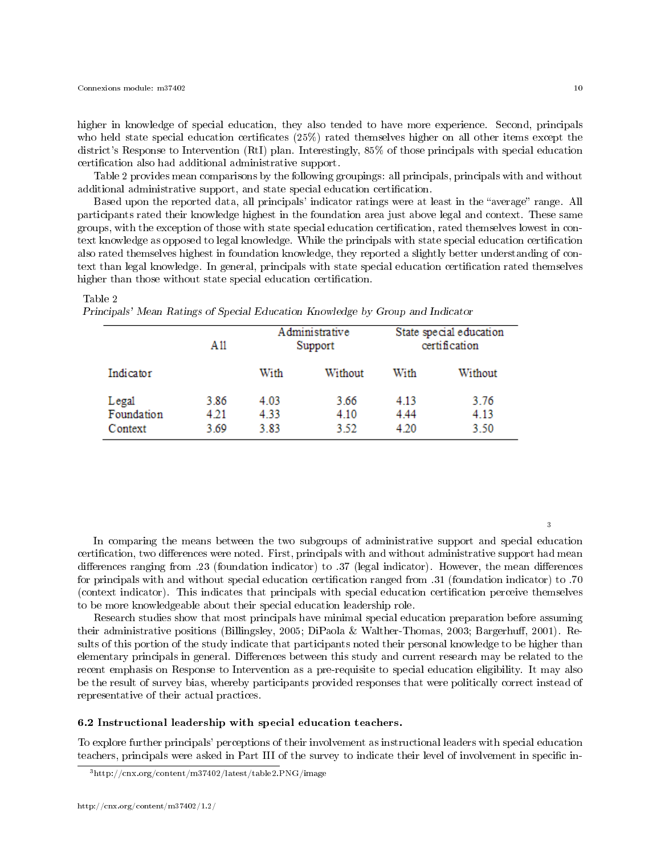higher in knowledge of special education, they also tended to have more experience. Second, principals who held state special education certificates  $(25%)$  rated themselves higher on all other items except the district's Response to Intervention (RtI) plan. Interestingly, 85% of those principals with special education certification also had additional administrative support.

Table 2 provides mean comparisons by the following groupings: all principals, principals with and without additional administrative support, and state special education certification.

Based upon the reported data, all principals' indicator ratings were at least in the "average" range. All participants rated their knowledge highest in the foundation area just above legal and context. These same groups, with the exception of those with state special education certication, rated themselves lowest in context knowledge as opposed to legal knowledge. While the principals with state special education certication also rated themselves highest in foundation knowledge, they reported a slightly better understanding of context than legal knowledge. In general, principals with state special education certification rated themselves higher than those without state special education certification.

|                                | A11                  | Administrative<br>Support |                      | State special education<br>certification |                      |
|--------------------------------|----------------------|---------------------------|----------------------|------------------------------------------|----------------------|
| Indicator                      |                      | With                      | Without              | With                                     | Without              |
| Legal<br>Foundation<br>Context | 3.86<br>4.21<br>3.69 | 4.03<br>4.33<br>3.83      | 3.66<br>4.10<br>3.52 | 4.13<br>4.44<br>4.20                     | 3.76<br>4.13<br>3.50 |

#### Table 2

Principals' Mean Ratings of Special Education Knowledge by Group and Indicator

In comparing the means between the two subgroups of administrative support and special education certification, two differences were noted. First, principals with and without administrative support had mean differences ranging from .23 (foundation indicator) to .37 (legal indicator). However, the mean differences for principals with and without special education certication ranged from .31 (foundation indicator) to .70 (context indicator). This indicates that principals with special education certication perceive themselves to be more knowledgeable about their special education leadership role.

Research studies show that most principals have minimal special education preparation before assuming their administrative positions (Billingsley, 2005; DiPaola & Walther-Thomas, 2003; Bargerhuff, 2001). Results of this portion of the study indicate that participants noted their personal knowledge to be higher than elementary principals in general. Differences between this study and current research may be related to the recent emphasis on Response to Intervention as a pre-requisite to special education eligibility. It may also be the result of survey bias, whereby participants provided responses that were politically correct instead of representative of their actual practices.

#### 6.2 Instructional leadership with special education teachers.

To explore further principals' perceptions of their involvement as instructional leaders with special education teachers, principals were asked in Part III of the survey to indicate their level of involvement in specific in-

3

<sup>3</sup>http://cnx.org/content/m37402/latest/table2.PNG/image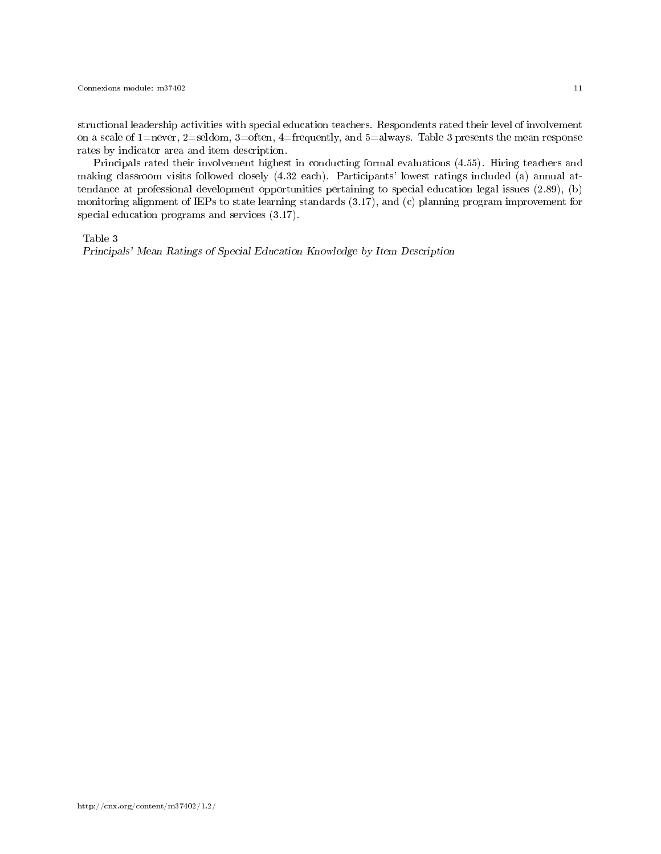structional leadership activities with special education teachers. Respondents rated their level of involvement on a scale of 1=never, 2=seldom, 3=often, 4=frequently, and 5=always. Table 3 presents the mean response rates by indicator area and item description.

Principals rated their involvement highest in conducting formal evaluations (4.55). Hiring teachers and making classroom visits followed closely (4.32 each). Participants' lowest ratings included (a) annual attendance at professional development opportunities pertaining to special education legal issues (2.89), (b) monitoring alignment of IEPs to state learning standards (3.17), and (c) planning program improvement for special education programs and services (3.17).

Table 3

Principals' Mean Ratings of Special Education Knowledge by Item Description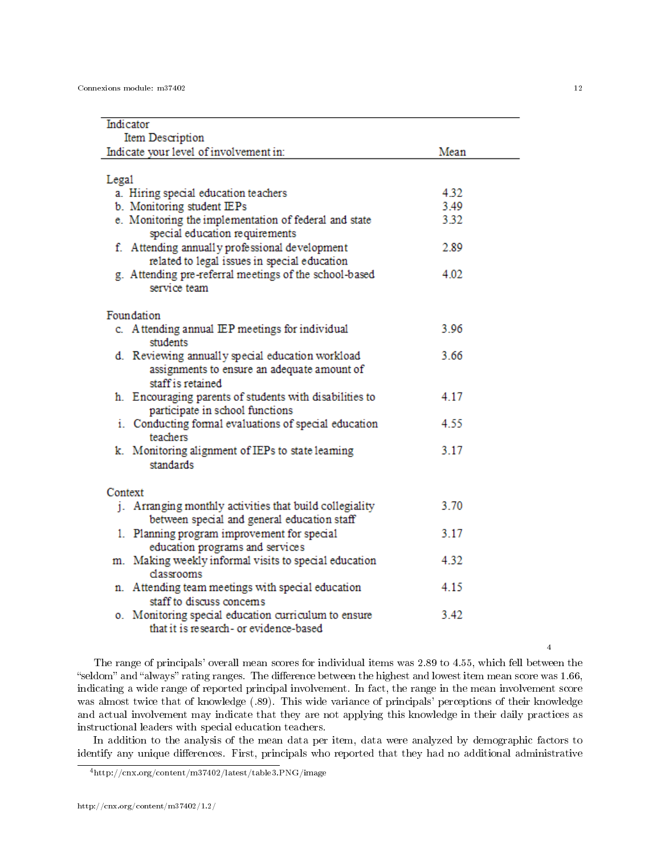| Indicator                                                                                                            |      |  |  |  |
|----------------------------------------------------------------------------------------------------------------------|------|--|--|--|
| Item Description                                                                                                     |      |  |  |  |
| Indicate your level of involvement in:                                                                               | Mean |  |  |  |
|                                                                                                                      |      |  |  |  |
| Legal                                                                                                                |      |  |  |  |
| a. Hiring special education teachers                                                                                 | 4.32 |  |  |  |
| b. Monitoring student IEPs                                                                                           | 3.49 |  |  |  |
| e. Monitoring the implementation of federal and state<br>special education requirements                              | 3.32 |  |  |  |
| f. Attending annually professional development<br>related to legal issues in special education                       | 2.89 |  |  |  |
| g. Attending pre-referral meetings of the school-based<br>service team                                               | 4.02 |  |  |  |
| Foundation                                                                                                           |      |  |  |  |
| c. Attending annual IEP meetings for individual<br>students                                                          | 3.96 |  |  |  |
| d. Reviewing annually special education workload<br>assignments to ensure an adequate amount of<br>staff is retained | 3.66 |  |  |  |
| h. Encouraging parents of students with disabilities to<br>participate in school functions                           | 4 17 |  |  |  |
| i. Conducting formal evaluations of special education<br>teachers                                                    | 4.55 |  |  |  |
| k. Monitoring alignment of IEPs to state learning<br>standards                                                       | 3.17 |  |  |  |
| Context                                                                                                              |      |  |  |  |
| j. Arranging monthly activities that build collegiality<br>between special and general education staff               | 3.70 |  |  |  |
| 1. Planning program improvement for special<br>education programs and services                                       | 3.17 |  |  |  |
| m. Making weekly informal visits to special education<br>classrooms                                                  | 4.32 |  |  |  |
| n. Attending team meetings with special education<br>staff to discuss concerns                                       | 4.15 |  |  |  |
| o. Monitoring special education curriculum to ensure<br>that it is research- or evidence-based                       | 3.42 |  |  |  |

The range of principals' overall mean scores for individual items was 2.89 to 4.55, which fell between the "seldom" and "always" rating ranges. The difference between the highest and lowest item mean score was 1.66, indicating a wide range of reported principal involvement. In fact, the range in the mean involvement score was almost twice that of knowledge (.89). This wide variance of principals' perceptions of their knowledge and actual involvement may indicate that they are not applying this knowledge in their daily practices as instructional leaders with special education teachers.

In addition to the analysis of the mean data per item, data were analyzed by demographic factors to identify any unique differences. First, principals who reported that they had no additional administrative

4

<sup>4</sup>http://cnx.org/content/m37402/latest/table3.PNG/image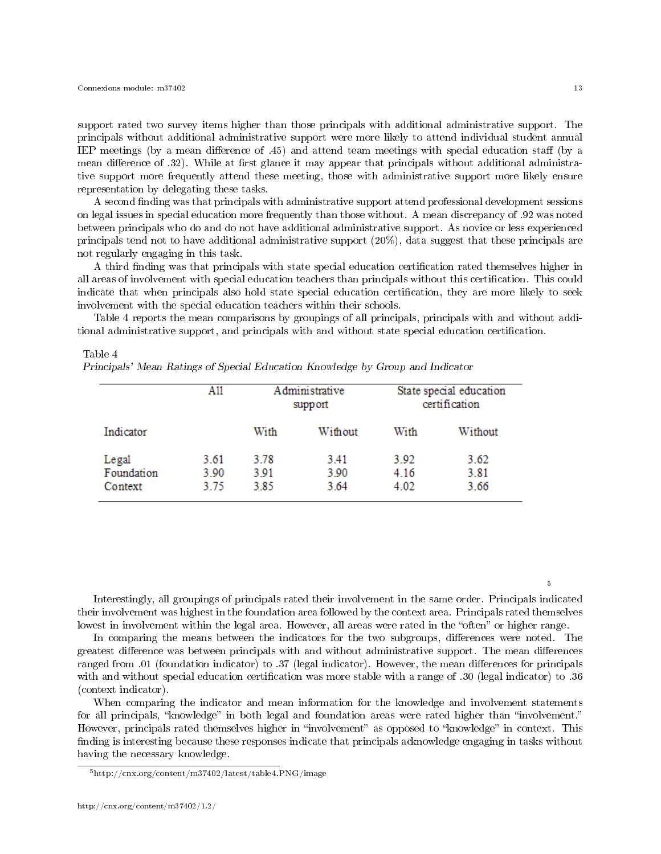support rated two survey items higher than those principals with additional administrative support. The principals without additional administrative support were more likely to attend individual student annual IEP meetings (by a mean difference of  $.45$ ) and attend team meetings with special education staff (by a mean difference of .32). While at first glance it may appear that principals without additional administrative support more frequently attend these meeting, those with administrative support more likely ensure representation by delegating these tasks.

A second finding was that principals with administrative support attend professional development sessions on legal issues in special education more frequently than those without. A mean discrepancy of .92 was noted between principals who do and do not have additional administrative support. As novice or less experienced principals tend not to have additional administrative support (20%), data suggest that these principals are not regularly engaging in this task.

A third finding was that principals with state special education certification rated themselves higher in all areas of involvement with special education teachers than principals without this certification. This could indicate that when principals also hold state special education certification, they are more likely to seek involvement with the special education teachers within their schools.

Table 4 reports the mean comparisons by groupings of all principals, principals with and without additional administrative support, and principals with and without state special education certication.

#### Table 4

Principals' Mean Ratings of Special Education Knowledge by Group and Indicator

|                                | A11                  | Administrative<br>support |                      | State special education<br>certification |                      |
|--------------------------------|----------------------|---------------------------|----------------------|------------------------------------------|----------------------|
| Indicator                      |                      | With                      | Without              | With                                     | Without              |
| Legal<br>Foundation<br>Context | 3.61<br>3.90<br>3.75 | 3.78<br>3.91<br>3.85      | 3.41<br>3.90<br>3.64 | 3.92<br>4.16<br>4.02                     | 3.62<br>3.81<br>3.66 |

Interestingly, all groupings of principals rated their involvement in the same order. Principals indicated their involvement was highest in the foundation area followed by the context area. Principals rated themselves lowest in involvement within the legal area. However, all areas were rated in the "often" or higher range.

In comparing the means between the indicators for the two subgroups, differences were noted. The greatest difference was between principals with and without administrative support. The mean differences ranged from .01 (foundation indicator) to .37 (legal indicator). However, the mean differences for principals with and without special education certication was more stable with a range of .30 (legal indicator) to .36 (context indicator).

When comparing the indicator and mean information for the knowledge and involvement statements for all principals, "knowledge" in both legal and foundation areas were rated higher than "involvement." However, principals rated themselves higher in "involvement" as opposed to "knowledge" in context. This finding is interesting because these responses indicate that principals acknowledge engaging in tasks without having the necessary knowledge.

5

<sup>5</sup>http://cnx.org/content/m37402/latest/table4.PNG/image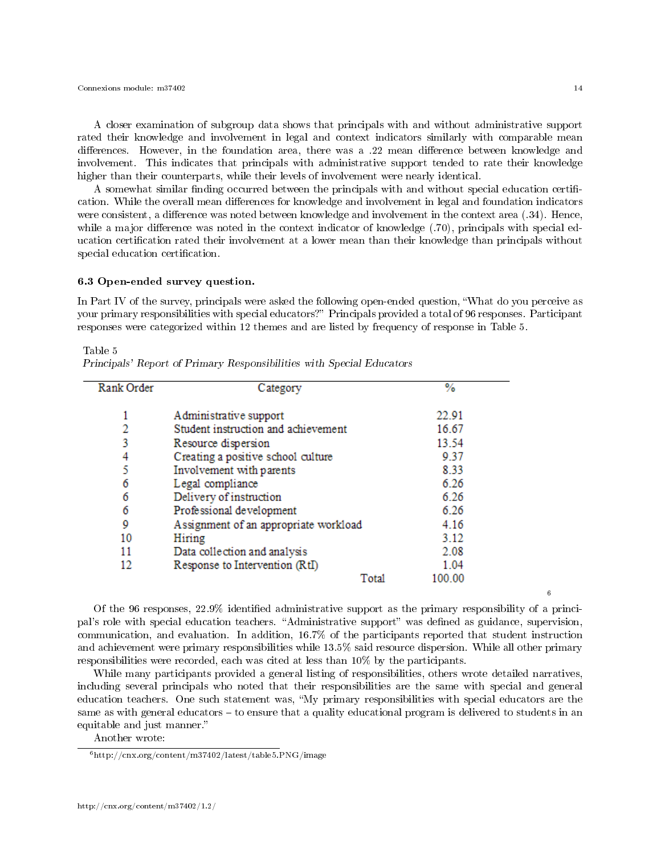Connexions module: m37402 14

6

A closer examination of subgroup data shows that principals with and without administrative support rated their knowledge and involvement in legal and context indicators similarly with comparable mean differences. However, in the foundation area, there was a .22 mean difference between knowledge and involvement. This indicates that principals with administrative support tended to rate their knowledge higher than their counterparts, while their levels of involvement were nearly identical.

A somewhat similar finding occurred between the principals with and without special education certification. While the overall mean differences for knowledge and involvement in legal and foundation indicators were consistent, a difference was noted between knowledge and involvement in the context area (.34). Hence, while a major difference was noted in the context indicator of knowledge  $(.70)$ , principals with special education certification rated their involvement at a lower mean than their knowledge than principals without special education certification.

# 6.3 Open-ended survey question.

In Part IV of the survey, principals were asked the following open-ended question, What do you perceive as your primary responsibilities with special educators?" Principals provided a total of 96 responses. Participant responses were categorized within 12 themes and are listed by frequency of response in Table 5.

| Rank Order | Category                              | %      |
|------------|---------------------------------------|--------|
|            |                                       |        |
|            | Administrative support                | 22.91  |
| 2          | Student instruction and achievement   | 16.67  |
| 3          | Resource dispersion                   | 13.54  |
| 4          | Creating a positive school culture    | 9.37   |
| 5          | Involvement with parents              | 8.33   |
| 6          | Legal compliance                      | 6.26   |
| 6          | Delivery of instruction               | 6.26   |
| 6          | Professional development              | 6.26   |
| 9          | Assignment of an appropriate workload | 4.16   |
| 10         | Hiring                                | 3.12   |
| 11         | Data collection and analysis          | 2.08   |
| 12         | Response to Intervention (RtI)        | 1.04   |
|            | Total                                 | 100.00 |

Table 5 Principals' Report of Primary Responsibilities with Special Educators

Of the 96 responses,  $22.9\%$  identified administrative support as the primary responsibility of a principal's role with special education teachers. "Administrative support" was defined as guidance, supervision, communication, and evaluation. In addition, 16.7% of the participants reported that student instruction and achievement were primary responsibilities while 13.5% said resource dispersion. While all other primary responsibilities were recorded, each was cited at less than 10% by the participants.

While many participants provided a general listing of responsibilities, others wrote detailed narratives, including several principals who noted that their responsibilities are the same with special and general education teachers. One such statement was, "My primary responsibilities with special educators are the same as with general educators - to ensure that a quality educational program is delivered to students in an equitable and just manner.

Another wrote:

<sup>6</sup>http://cnx.org/content/m37402/latest/table5.PNG/image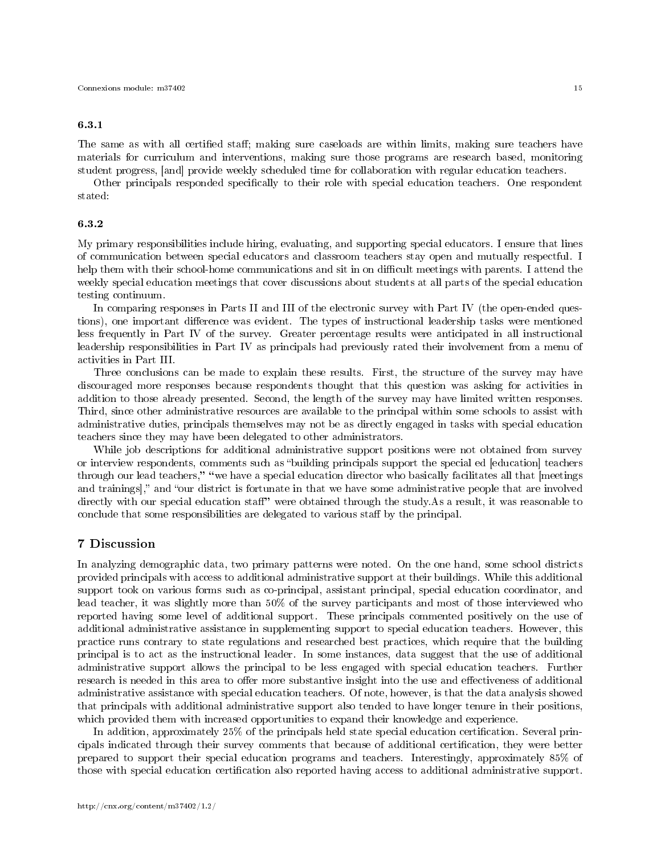# 6.3.1

The same as with all certified staff; making sure caseloads are within limits, making sure teachers have materials for curriculum and interventions, making sure those programs are research based, monitoring student progress, [and] provide weekly scheduled time for collaboration with regular education teachers.

Other principals responded specifically to their role with special education teachers. One respondent stated:

## 6.3.2

My primary responsibilities include hiring, evaluating, and supporting special educators. I ensure that lines of communication between special educators and classroom teachers stay open and mutually respectful. I help them with their school-home communications and sit in on difficult meetings with parents. I attend the weekly special education meetings that cover discussions about students at all parts of the special education testing continuum.

In comparing responses in Parts II and III of the electronic survey with Part IV (the open-ended questions), one important difference was evident. The types of instructional leadership tasks were mentioned less frequently in Part IV of the survey. Greater percentage results were anticipated in all instructional leadership responsibilities in Part IV as principals had previously rated their involvement from a menu of activities in Part III.

Three conclusions can be made to explain these results. First, the structure of the survey may have discouraged more responses because respondents thought that this question was asking for activities in addition to those already presented. Second, the length of the survey may have limited written responses. Third, since other administrative resources are available to the principal within some schools to assist with administrative duties, principals themselves may not be as directly engaged in tasks with special education teachers since they may have been delegated to other administrators.

While job descriptions for additional administrative support positions were not obtained from survey or interview respondents, comments such as "building principals support the special ed [education] teachers through our lead teachers," "we have a special education director who basically facilitates all that [meetings and trainings]," and "our district is fortunate in that we have some administrative people that are involved directly with our special education staff" were obtained through the study.As a result, it was reasonable to conclude that some responsibilities are delegated to various staff by the principal.

# 7 Discussion

In analyzing demographic data, two primary patterns were noted. On the one hand, some school districts provided principals with access to additional administrative support at their buildings. While this additional support took on various forms such as co-principal, assistant principal, special education coordinator, and lead teacher, it was slightly more than 50% of the survey participants and most of those interviewed who reported having some level of additional support. These principals commented positively on the use of additional administrative assistance in supplementing support to special education teachers. However, this practice runs contrary to state regulations and researched best practices, which require that the building principal is to act as the instructional leader. In some instances, data suggest that the use of additional administrative support allows the principal to be less engaged with special education teachers. Further research is needed in this area to offer more substantive insight into the use and effectiveness of additional administrative assistance with special education teachers. Of note, however, is that the data analysis showed that principals with additional administrative support also tended to have longer tenure in their positions, which provided them with increased opportunities to expand their knowledge and experience.

In addition, approximately 25% of the principals held state special education certification. Several principals indicated through their survey comments that because of additional certification, they were better prepared to support their special education programs and teachers. Interestingly, approximately 85% of those with special education certification also reported having access to additional administrative support.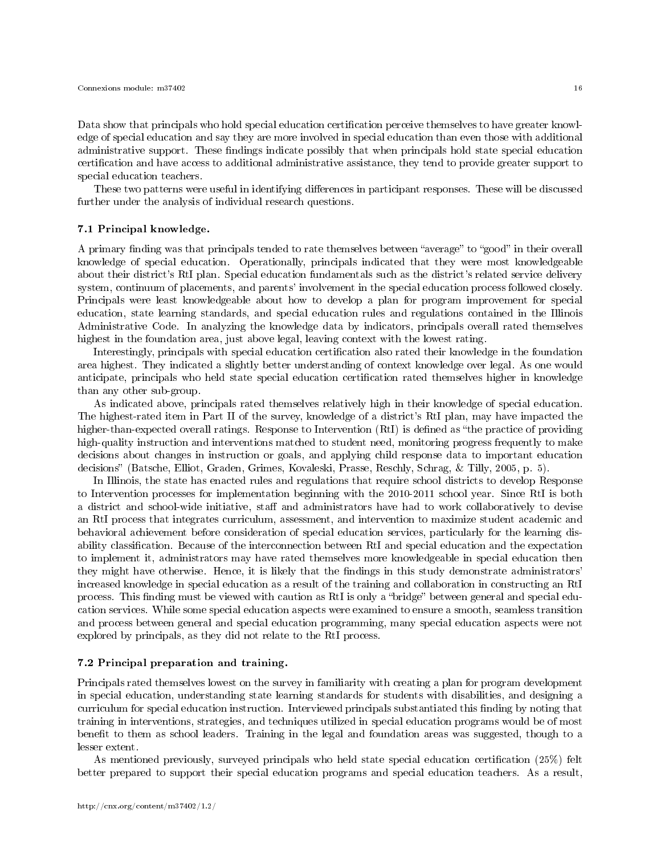Data show that principals who hold special education certification perceive themselves to have greater knowledge of special education and say they are more involved in special education than even those with additional administrative support. These findings indicate possibly that when principals hold state special education certication and have access to additional administrative assistance, they tend to provide greater support to special education teachers.

These two patterns were useful in identifying differences in participant responses. These will be discussed further under the analysis of individual research questions.

#### 7.1 Principal knowledge.

A primary finding was that principals tended to rate themselves between "average" to "good" in their overall knowledge of special education. Operationally, principals indicated that they were most knowledgeable about their district's RtI plan. Special education fundamentals such as the district's related service delivery system, continuum of placements, and parents' involvement in the special education process followed closely. Principals were least knowledgeable about how to develop a plan for program improvement for special education, state learning standards, and special education rules and regulations contained in the Illinois Administrative Code. In analyzing the knowledge data by indicators, principals overall rated themselves highest in the foundation area, just above legal, leaving context with the lowest rating.

Interestingly, principals with special education certication also rated their knowledge in the foundation area highest. They indicated a slightly better understanding of context knowledge over legal. As one would anticipate, principals who held state special education certification rated themselves higher in knowledge than any other sub-group.

As indicated above, principals rated themselves relatively high in their knowledge of special education. The highest-rated item in Part II of the survey, knowledge of a district's RtI plan, may have impacted the higher-than-expected overall ratings. Response to Intervention  $(RtI)$  is defined as "the practice of providing high-quality instruction and interventions matched to student need, monitoring progress frequently to make decisions about changes in instruction or goals, and applying child response data to important education decisions" (Batsche, Elliot, Graden, Grimes, Kovaleski, Prasse, Reschly, Schrag, & Tilly, 2005, p. 5).

In Illinois, the state has enacted rules and regulations that require school districts to develop Response to Intervention processes for implementation beginning with the 2010-2011 school year. Since RtI is both a district and school-wide initiative, staff and administrators have had to work collaboratively to devise an RtI process that integrates curriculum, assessment, and intervention to maximize student academic and behavioral achievement before consideration of special education services, particularly for the learning disability classification. Because of the interconnection between RtI and special education and the expectation to implement it, administrators may have rated themselves more knowledgeable in special education then they might have otherwise. Hence, it is likely that the findings in this study demonstrate administrators' increased knowledge in special education as a result of the training and collaboration in constructing an RtI process. This finding must be viewed with caution as RtI is only a "bridge" between general and special education services. While some special education aspects were examined to ensure a smooth, seamless transition and process between general and special education programming, many special education aspects were not explored by principals, as they did not relate to the RtI process.

#### 7.2 Principal preparation and training.

Principals rated themselves lowest on the survey in familiarity with creating a plan for program development in special education, understanding state learning standards for students with disabilities, and designing a curriculum for special education instruction. Interviewed principals substantiated this finding by noting that training in interventions, strategies, and techniques utilized in special education programs would be of most benefit to them as school leaders. Training in the legal and foundation areas was suggested, though to a lesser extent.

As mentioned previously, surveyed principals who held state special education certification  $(25\%)$  felt better prepared to support their special education programs and special education teachers. As a result,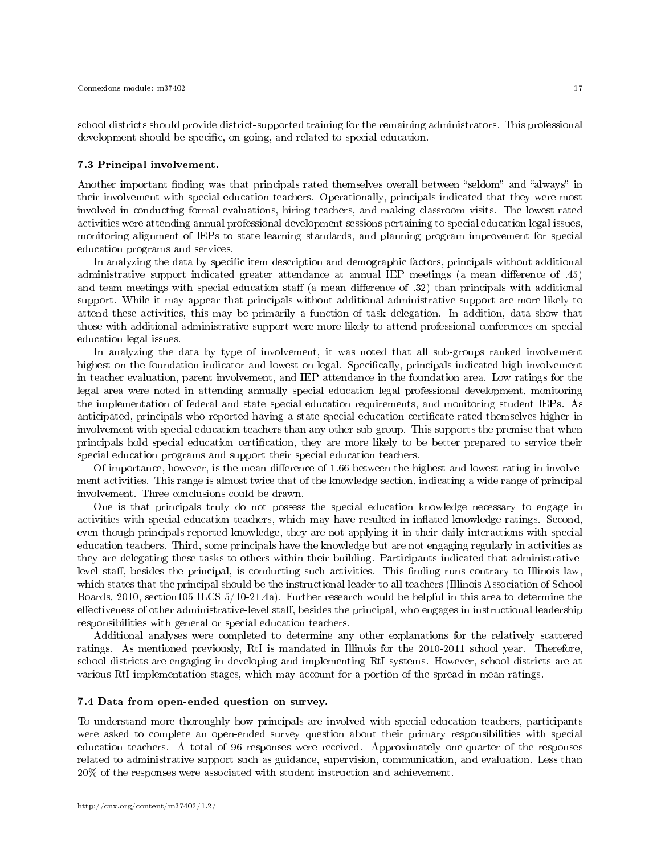school districts should provide district-supported training for the remaining administrators. This professional development should be specific, on-going, and related to special education.

#### 7.3 Principal involvement.

Another important finding was that principals rated themselves overall between "seldom" and "always" in their involvement with special education teachers. Operationally, principals indicated that they were most involved in conducting formal evaluations, hiring teachers, and making classroom visits. The lowest-rated activities were attending annual professional development sessions pertaining to special education legal issues, monitoring alignment of IEPs to state learning standards, and planning program improvement for special education programs and services.

In analyzing the data by specific item description and demographic factors, principals without additional administrative support indicated greater attendance at annual IEP meetings (a mean difference of .45) and team meetings with special education staff (a mean difference of .32) than principals with additional support. While it may appear that principals without additional administrative support are more likely to attend these activities, this may be primarily a function of task delegation. In addition, data show that those with additional administrative support were more likely to attend professional conferences on special education legal issues.

In analyzing the data by type of involvement, it was noted that all sub-groups ranked involvement highest on the foundation indicator and lowest on legal. Specifically, principals indicated high involvement in teacher evaluation, parent involvement, and IEP attendance in the foundation area. Low ratings for the legal area were noted in attending annually special education legal professional development, monitoring the implementation of federal and state special education requirements, and monitoring student IEPs. As anticipated, principals who reported having a state special education certificate rated themselves higher in involvement with special education teachers than any other sub-group. This supports the premise that when principals hold special education certification, they are more likely to be better prepared to service their special education programs and support their special education teachers.

Of importance, however, is the mean difference of 1.66 between the highest and lowest rating in involvement activities. This range is almost twice that of the knowledge section, indicating a wide range of principal involvement. Three conclusions could be drawn.

One is that principals truly do not possess the special education knowledge necessary to engage in activities with special education teachers, which may have resulted in inflated knowledge ratings. Second, even though principals reported knowledge, they are not applying it in their daily interactions with special education teachers. Third, some principals have the knowledge but are not engaging regularly in activities as they are delegating these tasks to others within their building. Participants indicated that administrativelevel staff, besides the principal, is conducting such activities. This finding runs contrary to Illinois law, which states that the principal should be the instructional leader to all teachers (Illinois Association of School Boards, 2010, section105 ILCS 5/10-21.4a). Further research would be helpful in this area to determine the effectiveness of other administrative-level staff, besides the principal, who engages in instructional leadership responsibilities with general or special education teachers.

Additional analyses were completed to determine any other explanations for the relatively scattered ratings. As mentioned previously, RtI is mandated in Illinois for the 2010-2011 school year. Therefore, school districts are engaging in developing and implementing RtI systems. However, school districts are at various RtI implementation stages, which may account for a portion of the spread in mean ratings.

#### 7.4 Data from open-ended question on survey.

To understand more thoroughly how principals are involved with special education teachers, participants were asked to complete an open-ended survey question about their primary responsibilities with special education teachers. A total of 96 responses were received. Approximately one-quarter of the responses related to administrative support such as guidance, supervision, communication, and evaluation. Less than 20% of the responses were associated with student instruction and achievement.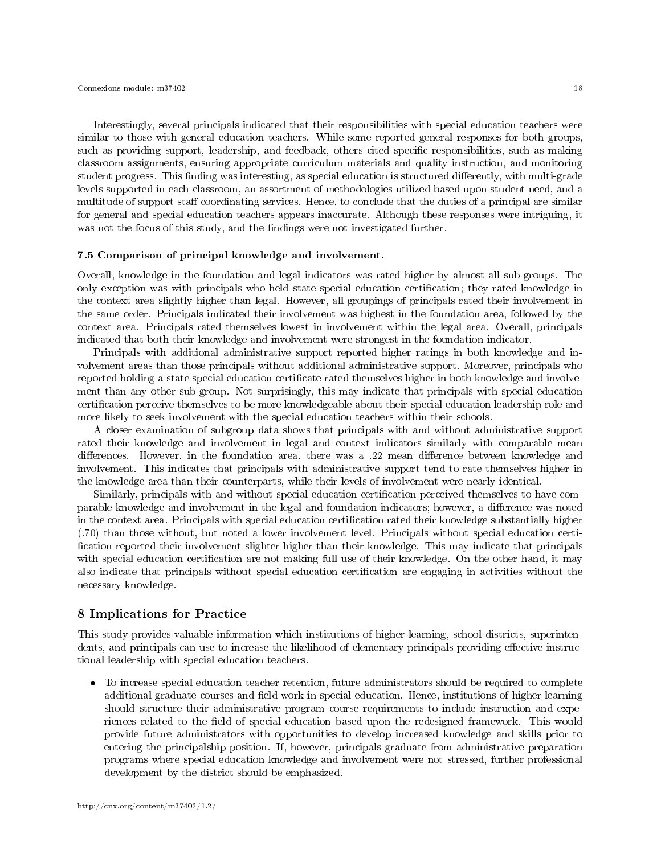Interestingly, several principals indicated that their responsibilities with special education teachers were similar to those with general education teachers. While some reported general responses for both groups, such as providing support, leadership, and feedback, others cited specific responsibilities, such as making classroom assignments, ensuring appropriate curriculum materials and quality instruction, and monitoring student progress. This finding was interesting, as special education is structured differently, with multi-grade levels supported in each classroom, an assortment of methodologies utilized based upon student need, and a multitude of support staff coordinating services. Hence, to conclude that the duties of a principal are similar for general and special education teachers appears inaccurate. Although these responses were intriguing, it was not the focus of this study, and the findings were not investigated further.

#### 7.5 Comparison of principal knowledge and involvement.

Overall, knowledge in the foundation and legal indicators was rated higher by almost all sub-groups. The only exception was with principals who held state special education certication; they rated knowledge in the context area slightly higher than legal. However, all groupings of principals rated their involvement in the same order. Principals indicated their involvement was highest in the foundation area, followed by the context area. Principals rated themselves lowest in involvement within the legal area. Overall, principals indicated that both their knowledge and involvement were strongest in the foundation indicator.

Principals with additional administrative support reported higher ratings in both knowledge and involvement areas than those principals without additional administrative support. Moreover, principals who reported holding a state special education certificate rated themselves higher in both knowledge and involvement than any other sub-group. Not surprisingly, this may indicate that principals with special education certication perceive themselves to be more knowledgeable about their special education leadership role and more likely to seek involvement with the special education teachers within their schools.

A closer examination of subgroup data shows that principals with and without administrative support rated their knowledge and involvement in legal and context indicators similarly with comparable mean differences. However, in the foundation area, there was a .22 mean difference between knowledge and involvement. This indicates that principals with administrative support tend to rate themselves higher in the knowledge area than their counterparts, while their levels of involvement were nearly identical.

Similarly, principals with and without special education certication perceived themselves to have comparable knowledge and involvement in the legal and foundation indicators; however, a difference was noted in the context area. Principals with special education certification rated their knowledge substantially higher (.70) than those without, but noted a lower involvement level. Principals without special education certi fication reported their involvement slighter higher than their knowledge. This may indicate that principals with special education certification are not making full use of their knowledge. On the other hand, it may also indicate that principals without special education certication are engaging in activities without the necessary knowledge.

# 8 Implications for Practice

This study provides valuable information which institutions of higher learning, school districts, superintendents, and principals can use to increase the likelihood of elementary principals providing effective instructional leadership with special education teachers.

• To increase special education teacher retention, future administrators should be required to complete additional graduate courses and field work in special education. Hence, institutions of higher learning should structure their administrative program course requirements to include instruction and experiences related to the field of special education based upon the redesigned framework. This would provide future administrators with opportunities to develop increased knowledge and skills prior to entering the principalship position. If, however, principals graduate from administrative preparation programs where special education knowledge and involvement were not stressed, further professional development by the district should be emphasized.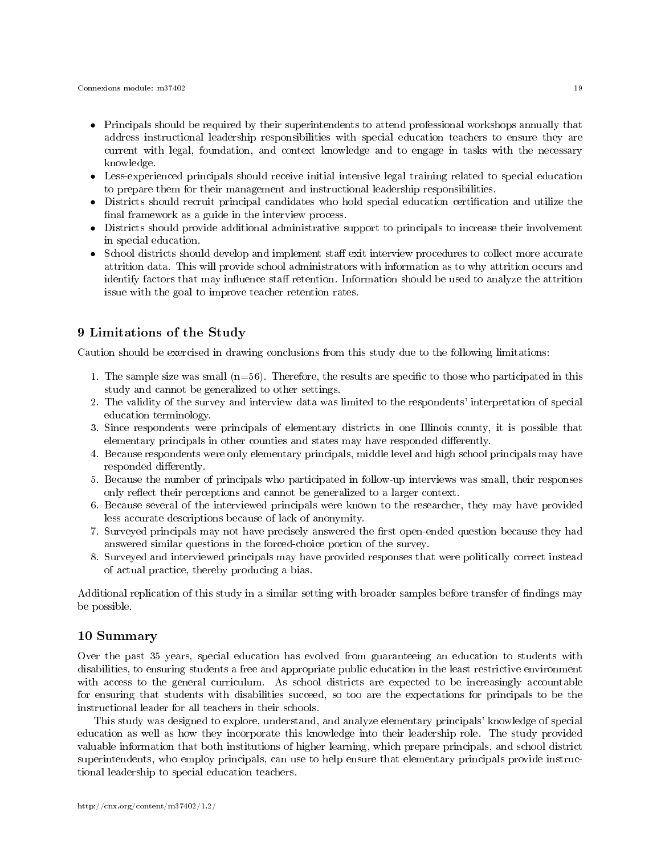- Principals should be required by their superintendents to attend professional workshops annually that address instructional leadership responsibilities with special education teachers to ensure they are current with legal, foundation, and context knowledge and to engage in tasks with the necessary knowledge.
- Less-experienced principals should receive initial intensive legal training related to special education to prepare them for their management and instructional leadership responsibilities.
- Districts should recruit principal candidates who hold special education certification and utilize the final framework as a guide in the interview process.
- Districts should provide additional administrative support to principals to increase their involvement in special education.
- School districts should develop and implement staff exit interview procedures to collect more accurate attrition data. This will provide school administrators with information as to why attrition occurs and identify factors that may influence staff retention. Information should be used to analyze the attrition issue with the goal to improve teacher retention rates.

# 9 Limitations of the Study

Caution should be exercised in drawing conclusions from this study due to the following limitations:

- 1. The sample size was small  $(n=56)$ . Therefore, the results are specific to those who participated in this study and cannot be generalized to other settings.
- 2. The validity of the survey and interview data was limited to the respondents' interpretation of special education terminology.
- 3. Since respondents were principals of elementary districts in one Illinois county, it is possible that elementary principals in other counties and states may have responded differently.
- 4. Because respondents were only elementary principals, middle level and high school principals may have responded differently.
- 5. Because the number of principals who participated in follow-up interviews was small, their responses only reflect their perceptions and cannot be generalized to a larger context.
- 6. Because several of the interviewed principals were known to the researcher, they may have provided less accurate descriptions because of lack of anonymity.
- 7. Surveyed principals may not have precisely answered the first open-ended question because they had answered similar questions in the forced-choice portion of the survey.
- 8. Surveyed and interviewed principals may have provided responses that were politically correct instead of actual practice, thereby producing a bias.

Additional replication of this study in a similar setting with broader samples before transfer of findings may be possible.

# 10 Summary

Over the past 35 years, special education has evolved from guaranteeing an education to students with disabilities, to ensuring students a free and appropriate public education in the least restrictive environment with access to the general curriculum. As school districts are expected to be increasingly accountable for ensuring that students with disabilities succeed, so too are the expectations for principals to be the instructional leader for all teachers in their schools.

This study was designed to explore, understand, and analyze elementary principals' knowledge of special education as well as how they incorporate this knowledge into their leadership role. The study provided valuable information that both institutions of higher learning, which prepare principals, and school district superintendents, who employ principals, can use to help ensure that elementary principals provide instructional leadership to special education teachers.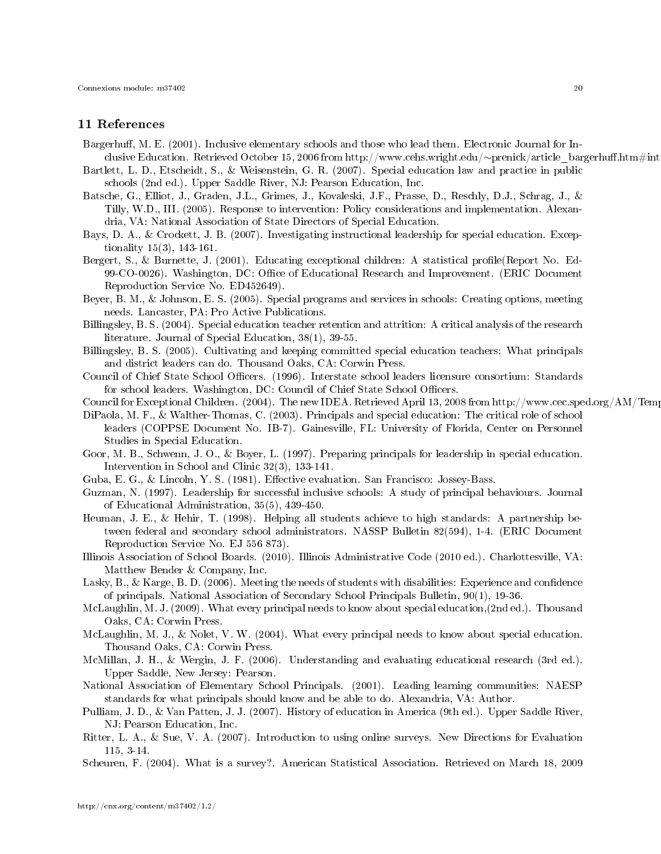# 11 References

- Bargerhuff, M. E. (2001). Inclusive elementary schools and those who lead them. Electronic Journal for Inclusive Education. Retrieved October 15, 2006 from http://www.cehs.wright.edu/∼prenick/article\_bargerhuff.htm#int
- Bartlett, L. D., Etscheidt, S., & Weisenstein, G. R. (2007). Special education law and practice in public schools (2nd ed.). Upper Saddle River, NJ: Pearson Education, Inc.
- Batsche, G., Elliot, J., Graden, J.L., Grimes, J., Kovaleski, J.F., Prasse, D., Reschly, D.J., Schrag, J., & Tilly, W.D., III. (2005). Response to intervention: Policy considerations and implementation. Alexandria, VA: National Association of State Directors of Special Education.
- Bays, D. A., & Crockett, J. B. (2007). Investigating instructional leadership for special education. Exceptionality 15(3), 143-161.
- Bergert, S., & Burnette, J. (2001). Educating exceptional children: A statistical profile(Report No. Ed-99-CO-0026). Washington, DC: Office of Educational Research and Improvement. (ERIC Document Reproduction Service No. ED452649).
- Beyer, B. M., & Johnson, E. S. (2005). Special programs and services in schools: Creating options, meeting needs. Lancaster, PA: Pro Active Publications.
- Billingsley, B. S. (2004). Special education teacher retention and attrition: A critical analysis of the research literature. Journal of Special Education, 38(1), 39-55.
- Billingsley, B. S. (2005). Cultivating and keeping committed special education teachers: What principals and district leaders can do. Thousand Oaks, CA: Corwin Press.
- Council of Chief State School Officers. (1996). Interstate school leaders licensure consortium: Standards for school leaders. Washington, DC: Council of Chief State School Officers.
- Council for Exceptional Children. (2004). The new IDEA. Retrieved April 13, 2008 from http://www.cec.sped.org/AM/Template.cfm?
- DiPaola, M. F., & Walther-Thomas, C. (2003). Principals and special education: The critical role of school leaders (COPPSE Document No. IB-7). Gainesville, FL: University of Florida, Center on Personnel Studies in Special Education.
- Goor, M. B., Schwenn, J. O., & Boyer, L. (1997). Preparing principals for leadership in special education. Intervention in School and Clinic 32(3), 133-141.
- Guba, E. G., & Lincoln, Y. S. (1981). Effective evaluation. San Francisco: Jossey-Bass.
- Guzman, N. (1997). Leadership for successful inclusive schools: A study of principal behaviours. Journal of Educational Administration, 35(5), 439-450.
- Heuman, J. E., & Hehir, T. (1998). Helping all students achieve to high standards: A partnership between federal and secondary school administrators. NASSP Bulletin 82(594), 1-4. (ERIC Document Reproduction Service No. EJ 556 873).
- Illinois Association of School Boards. (2010). Illinois Administrative Code (2010 ed.). Charlottesville, VA: Matthew Bender & Company, Inc.
- Lasky, B., & Karge, B. D. (2006). Meeting the needs of students with disabilities: Experience and confidence of principals. National Association of Secondary School Principals Bulletin, 90(1), 19-36.
- McLaughlin, M. J. (2009). What every principal needs to know about special education,(2nd ed.). Thousand Oaks, CA: Corwin Press.
- McLaughlin, M. J., & Nolet, V. W. (2004). What every principal needs to know about special education. Thousand Oaks, CA: Corwin Press.
- McMillan, J. H., & Wergin, J. F. (2006). Understanding and evaluating educational research (3rd ed.). Upper Saddle, New Jersey: Pearson.
- National Association of Elementary School Principals. (2001). Leading learning communities: NAESP standards for what principals should know and be able to do. Alexandria, VA: Author.
- Pulliam, J. D., & Van Patten, J. J. (2007). History of education in America (9th ed.). Upper Saddle River, NJ: Pearson Education, Inc.
- Ritter, L. A., & Sue, V. A. (2007). Introduction to using online surveys. New Directions for Evaluation 115, 3-14.
- Scheuren, F. (2004). What is a survey?. American Statistical Association. Retrieved on March 18, 2009